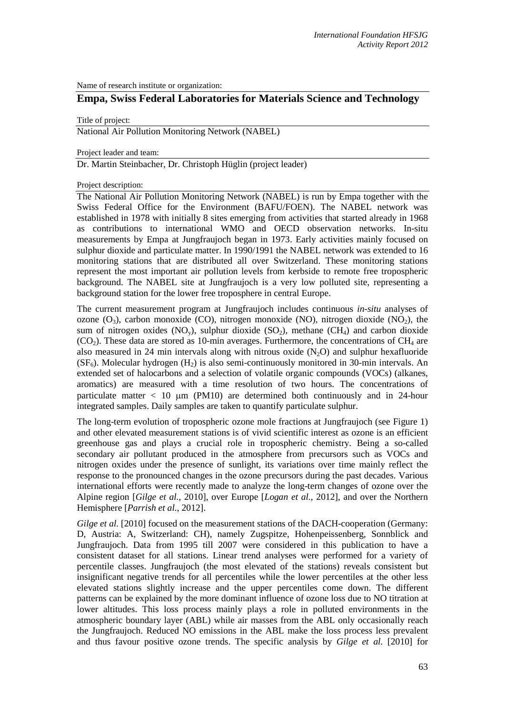Name of research institute or organization:

# **Empa, Swiss Federal Laboratories for Materials Science and Technology**

Title of project:

National Air Pollution Monitoring Network (NABEL)

Project leader and team:

Dr. Martin Steinbacher, Dr. Christoph Hüglin (project leader)

### Project description:

The National Air Pollution Monitoring Network (NABEL) is run by Empa together with the Swiss Federal Office for the Environment (BAFU/FOEN). The NABEL network was established in 1978 with initially 8 sites emerging from activities that started already in 1968 as contributions to international WMO and OECD observation networks. In-situ measurements by Empa at Jungfraujoch began in 1973. Early activities mainly focused on sulphur dioxide and particulate matter. In 1990/1991 the NABEL network was extended to 16 monitoring stations that are distributed all over Switzerland. These monitoring stations represent the most important air pollution levels from kerbside to remote free tropospheric background. The NABEL site at Jungfraujoch is a very low polluted site, representing a background station for the lower free troposphere in central Europe.

The current measurement program at Jungfraujoch includes continuous *in-situ* analyses of ozone  $(O_3)$ , carbon monoxide  $(CO)$ , nitrogen monoxide  $(NO)$ , nitrogen dioxide  $(NO_2)$ , the sum of nitrogen oxides (NO<sub>v</sub>), sulphur dioxide (SO<sub>2</sub>), methane (CH<sub>4</sub>) and carbon dioxide  $(CO<sub>2</sub>)$ . These data are stored as 10-min averages. Furthermore, the concentrations of CH<sub>4</sub> are also measured in 24 min intervals along with nitrous oxide  $(N_2O)$  and sulphur hexafluoride  $(SF_6)$ . Molecular hydrogen  $(H_2)$  is also semi-continuously monitored in 30-min intervals. An extended set of halocarbons and a selection of volatile organic compounds (VOCs) (alkanes, aromatics) are measured with a time resolution of two hours. The concentrations of particulate matter  $< 10 \mu m$  (PM10) are determined both continuously and in 24-hour integrated samples. Daily samples are taken to quantify particulate sulphur.

The long-term evolution of tropospheric ozone mole fractions at Jungfraujoch (see Figure 1) and other elevated measurement stations is of vivid scientific interest as ozone is an efficient greenhouse gas and plays a crucial role in tropospheric chemistry. Being a so-called secondary air pollutant produced in the atmosphere from precursors such as VOCs and nitrogen oxides under the presence of sunlight, its variations over time mainly reflect the response to the pronounced changes in the ozone precursors during the past decades. Various international efforts were recently made to analyze the long-term changes of ozone over the Alpine region [*[Gilge et al.](#page-2-0)*, 2010], over Europe [*[Logan et al.](#page-2-1)*, 2012], and over the Northern Hemisphere [*[Parrish et al.](#page-2-2)*, 2012].

*Gilge et al.* [\[2010\]](#page-2-0) focused on the measurement stations of the DACH-cooperation (Germany: D, Austria: A, Switzerland: CH), namely Zugspitze, Hohenpeissenberg, Sonnblick and Jungfraujoch. Data from 1995 till 2007 were considered in this publication to have a consistent dataset for all stations. Linear trend analyses were performed for a variety of percentile classes. Jungfraujoch (the most elevated of the stations) reveals consistent but insignificant negative trends for all percentiles while the lower percentiles at the other less elevated stations slightly increase and the upper percentiles come down. The different patterns can be explained by the more dominant influence of ozone loss due to NO titration at lower altitudes. This loss process mainly plays a role in polluted environments in the atmospheric boundary layer (ABL) while air masses from the ABL only occasionally reach the Jungfraujoch. Reduced NO emissions in the ABL make the loss process less prevalent and thus favour positive ozone trends. The specific analysis by *Gilge et al.* [\[2010\]](#page-2-0) for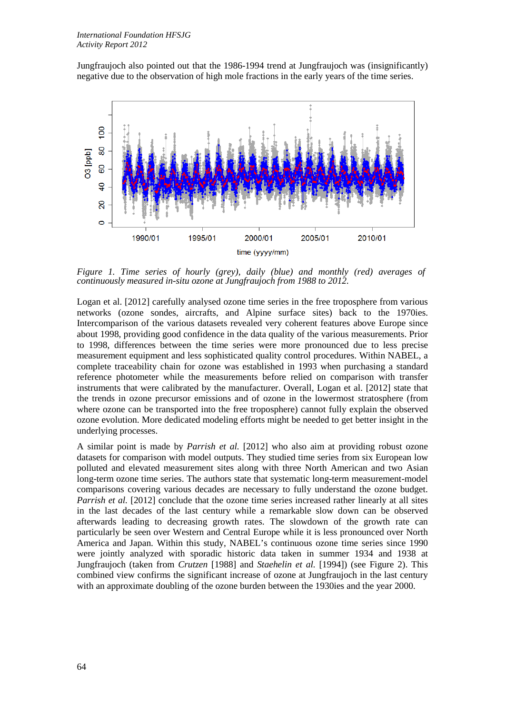Jungfraujoch also pointed out that the 1986-1994 trend at Jungfraujoch was (insignificantly) negative due to the observation of high mole fractions in the early years of the time series.



*Figure 1. Time series of hourly (grey), daily (blue) and monthly (red) averages of continuously measured in-situ ozone at Jungfraujoch from 1988 to 2012.* 

Logan et al. [\[2012\]](#page-2-1) carefully analysed ozone time series in the free troposphere from various networks (ozone sondes, aircrafts, and Alpine surface sites) back to the 1970ies. Intercomparison of the various datasets revealed very coherent features above Europe since about 1998, providing good confidence in the data quality of the various measurements. Prior to 1998, differences between the time series were more pronounced due to less precise measurement equipment and less sophisticated quality control procedures. Within NABEL, a complete traceability chain for ozone was established in 1993 when purchasing a standard reference photometer while the measurements before relied on comparison with transfer instruments that were calibrated by the manufacturer. Overall, Logan et al. [\[2012\]](#page-2-1) state that the trends in ozone precursor emissions and of ozone in the lowermost stratosphere (from where ozone can be transported into the free troposphere) cannot fully explain the observed ozone evolution. More dedicated modeling efforts might be needed to get better insight in the underlying processes.

A similar point is made by *Parrish et al.* [\[2012\]](#page-2-2) who also aim at providing robust ozone datasets for comparison with model outputs. They studied time series from six European low polluted and elevated measurement sites along with three North American and two Asian long-term ozone time series. The authors state that systematic long-term measurement-model comparisons covering various decades are necessary to fully understand the ozone budget. *Parrish et al.* [\[2012\]](#page-2-2) conclude that the ozone time series increased rather linearly at all sites in the last decades of the last century while a remarkable slow down can be observed afterwards leading to decreasing growth rates. The slowdown of the growth rate can particularly be seen over Western and Central Europe while it is less pronounced over North America and Japan. Within this study, NABEL's continuous ozone time series since 1990 were jointly analyzed with sporadic historic data taken in summer 1934 and 1938 at Jungfraujoch (taken from *Crutzen* [\[1988\]](#page-2-3) and *Staehelin et al.* [\[1994\]](#page-2-4)) (see Figure 2). This combined view confirms the significant increase of ozone at Jungfraujoch in the last century with an approximate doubling of the ozone burden between the 1930ies and the year 2000.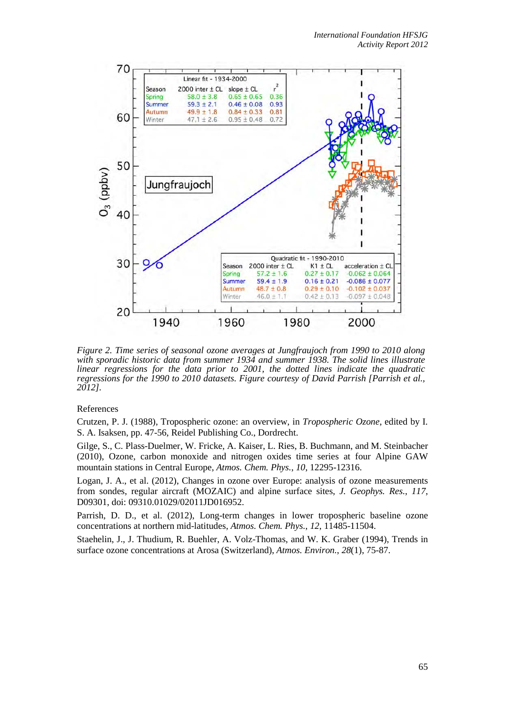

*Figure 2. Time series of seasonal ozone averages at Jungfraujoch from 1990 to 2010 along with sporadic historic data from summer 1934 and summer 1938. The solid lines illustrate linear regressions for the data prior to 2001, the dotted lines indicate the quadratic regressions for the 1990 to 2010 datasets. Figure courtesy of David Parrish [\[Parrish et al.,](#page-2-2)  [2012\]](#page-2-2).*

# References

<span id="page-2-3"></span>Crutzen, P. J. (1988), Tropospheric ozone: an overview, in *Tropospheric Ozone*, edited by I. S. A. Isaksen, pp. 47-56, Reidel Publishing Co., Dordrecht.

<span id="page-2-0"></span>Gilge, S., C. Plass-Duelmer, W. Fricke, A. Kaiser, L. Ries, B. Buchmann, and M. Steinbacher (2010), Ozone, carbon monoxide and nitrogen oxides time series at four Alpine GAW mountain stations in Central Europe, *Atmos. Chem. Phys.*, *10*, 12295-12316.

<span id="page-2-1"></span>Logan, J. A., et al. (2012), Changes in ozone over Europe: analysis of ozone measurements from sondes, regular aircraft (MOZAIC) and alpine surface sites, *J. Geophys. Res.*, *117*, D09301, doi: 09310.01029/02011JD016952.

<span id="page-2-2"></span>Parrish, D. D., et al. (2012), Long-term changes in lower tropospheric baseline ozone concentrations at northern mid-latitudes, *Atmos. Chem. Phys.*, *12*, 11485-11504.

<span id="page-2-4"></span>Staehelin, J., J. Thudium, R. Buehler, A. Volz-Thomas, and W. K. Graber (1994), Trends in surface ozone concentrations at Arosa (Switzerland), *Atmos. Environ.*, *28*(1), 75-87.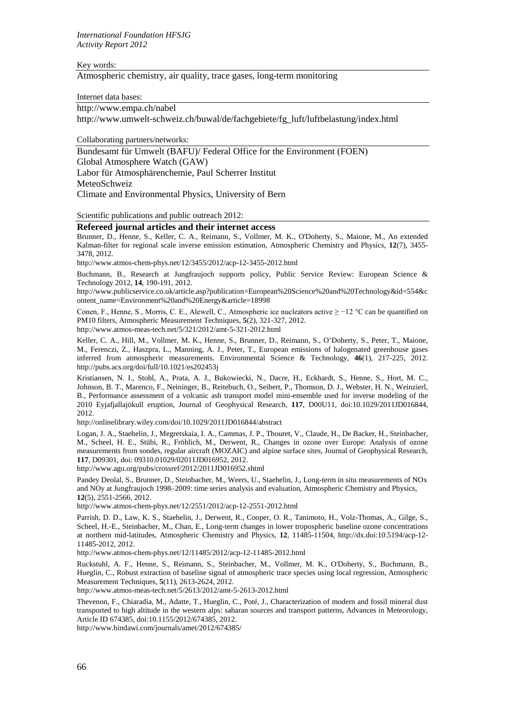Key words:

Atmospheric chemistry, air quality, trace gases, long-term monitoring

Internet data bases:

[http://www.empa.ch/nabel](http://kspc4.unibe.ch/nm/index1.html) [http://www.umwelt-schweiz.ch/buwal/de/fachgebiete/fg\\_luft/luftbelastung/index.html](http://www.umwelt-schweiz.ch/buwal/de/fachgebiete/fg_luft/luftbelastung/index.html)

Collaborating partners/networks:

Bundesamt für Umwelt (BAFU)/ Federal Office for the Environment (FOEN) Global Atmosphere Watch (GAW) Labor für Atmosphärenchemie, Paul Scherrer Institut MeteoSchweiz Climate and Environmental Physics, University of Bern

Scientific publications and public outreach 2012:

# **Refereed journal articles and their internet access**

Brunner, D., Henne, S., Keller, C. A., Reimann, S., Vollmer, M. K., O'Doherty, S., Maione, M., An extended Kalman-filter for regional scale inverse emission estimation, Atmospheric Chemistry and Physics, **12**(7), 3455- 3478, 2012.

http://www.atmos-chem-phys.net/12/3455/2012/acp-12-3455-2012.html

Buchmann, B., Research at Jungfraujoch supports policy, Public Service Review: European Science & Technology 2012, **14**, 190-191, 2012.

http://www.publicservice.co.uk/article.asp?publication=European%20Science%20and%20Technology&id=554&c ontent\_name=Environment%20and%20Energy&article=18998

Conen, F., Henne, S., Morris, C. E., Alewell, C., Atmospheric ice nucleators active  $\geq -12$  °C can be quantified on PM10 filters, Atmospheric Measurement Techniques, **5**(2), 321-327, 2012.

http://www.atmos-meas-tech.net/5/321/2012/amt-5-321-2012.html

Keller, C. A., Hill, M., Vollmer, M. K., Henne, S., Brunner, D., Reimann, S., O'Doherty, S., Peter, T., Maione, M., Ferenczi, Z., Haszpra, L., Manning, A. J., Peter, T., European emissions of halogenated greenhouse gases inferred from atmospheric measurements. Environmental Science & Technology, **46**(1), 217-225, 2012. http://pubs.acs.org/doi/full/10.1021/es202453j

Kristiansen, N. I., Stohl, A., Prata, A. J., Bukowiecki, N., Dacre, H., Eckhardt, S., Henne, S., Hort, M. C., Johnson, B. T., Marenco, F., Neininger, B., Reitebuch, O., Seibert, P., Thomson, D. J., Webster, H. N., Weinzierl, B., Performance assessment of a volcanic ash transport model mini-ensemble used for inverse modeling of the 2010 Eyjafjallajökull eruption, Journal of Geophysical Research, **117**, D00U11, doi:10.1029/2011JD016844, 2012.

http://onlinelibrary.wiley.com/doi/10.1029/2011JD016844/abstract

Logan, J. A., Staehelin, J., Megretskaia, I. A., Cammas, J. P., Thouret, V., Claude, H., De Backer, H., Steinbacher, M., Scheel, H. E., Stübi, R., Fröhlich, M., Derwent, R., Changes in ozone over Europe: Analysis of ozone measurements from sondes, regular aircraft (MOZAIC) and alpine surface sites, Journal of Geophysical Research, **117**, D09301, doi: 09310.01029/02011JD016952, 2012.

http://www.agu.org/pubs/crossref/2012/2011JD016952.shtml

Pandey Deolal, S., Brunner, D., Steinbacher, M., Weers, U., Staehelin, J., Long-term in situ measurements of NOx and NOy at Jungfraujoch 1998–2009: time series analysis and evaluation, Atmospheric Chemistry and Physics, **12**(5), 2551-2566, 2012.

http://www.atmos-chem-phys.net/12/2551/2012/acp-12-2551-2012.html

Parrish, D. D., Law, K. S., Staehelin, J., Derwent, R., Cooper, O. R., Tanimoto, H., Volz-Thomas, A., Gilge, S., Scheel, H.-E., Steinbacher, M., Chan, E., Long-term changes in lower tropospheric baseline ozone concentrations at northern mid-latitudes, Atmospheric Chemistry and Physics, **12**, 11485-11504, http://dx.doi:10.5194/acp-12- 11485-2012, 2012.

http://www.atmos-chem-phys.net/12/11485/2012/acp-12-11485-2012.html

Ruckstuhl, A. F., Henne, S., Reimann, S., Steinbacher, M., Vollmer, M. K., O'Doherty, S., Buchmann, B., Hueglin, C., Robust extraction of baseline signal of atmospheric trace species using local regression, Atmospheric Measurement Techniques, **5**(11), 2613-2624, 2012.

http://www.atmos-meas-tech.net/5/2613/2012/amt-5-2613-2012.html

Thevenon, F., Chiaradia, M., Adatte, T., Hueglin, C., Poté, J., Characterization of modern and fossil mineral dust transported to high altitude in the western alps: saharan sources and transport patterns, Advances in Meteorology, Article ID 674385, doi:10.1155/2012/674385, 2012.

http://www.hindawi.com/journals/amet/2012/674385/